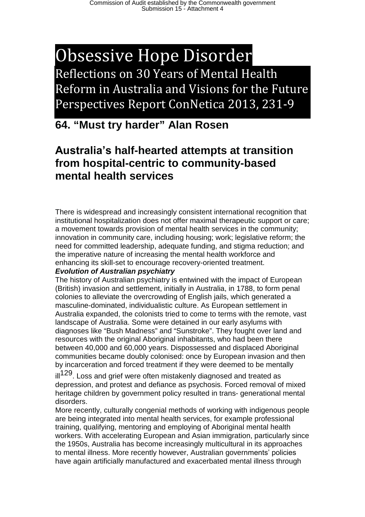# Obsessive Hope Disorder Reflections on 30 Years of Mental Health Reform in Australia and Visions for the Future Perspectives Report ConNetica 2013, 231-9

## **64. "Must try harder" Alan Rosen**

### **Australia's half-hearted attempts at transition from hospital-centric to community-based mental health services**

There is widespread and increasingly consistent international recognition that institutional hospitalization does not offer maximal therapeutic support or care; a movement towards provision of mental health services in the community; innovation in community care, including housing; work; legislative reform; the need for committed leadership, adequate funding, and stigma reduction; and the imperative nature of increasing the mental health workforce and enhancing its skill-set to encourage recovery-oriented treatment.

### *Evolution of Australian psychiatry*

The history of Australian psychiatry is entwined with the impact of European (British) invasion and settlement, initially in Australia, in 1788, to form penal colonies to alleviate the overcrowding of English jails, which generated a masculine-dominated, individualistic culture. As European settlement in Australia expanded, the colonists tried to come to terms with the remote, vast landscape of Australia. Some were detained in our early asylums with diagnoses like "Bush Madness" and "Sunstroke". They fought over land and resources with the original Aboriginal inhabitants, who had been there between 40,000 and 60,000 years. Dispossessed and displaced Aboriginal communities became doubly colonised: once by European invasion and then by incarceration and forced treatment if they were deemed to be mentally

ill<sup>129</sup>. Loss and grief were often mistakenly diagnosed and treated as depression, and protest and defiance as psychosis. Forced removal of mixed heritage children by government policy resulted in trans- generational mental disorders.

More recently, culturally congenial methods of working with indigenous people are being integrated into mental health services, for example professional training, qualifying, mentoring and employing of Aboriginal mental health workers. With accelerating European and Asian immigration, particularly since the 1950s, Australia has become increasingly multicultural in its approaches to mental illness. More recently however, Australian governments' policies have again artificially manufactured and exacerbated mental illness through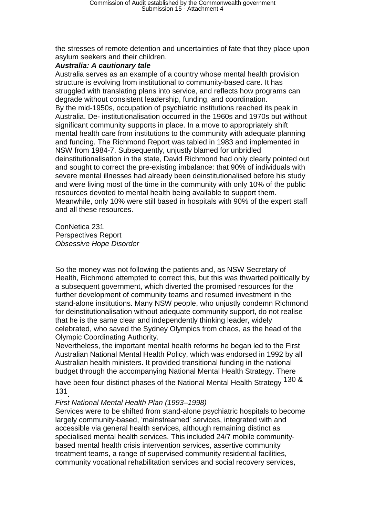the stresses of remote detention and uncertainties of fate that they place upon asylum seekers and their children.

#### *Australia: A cautionary tale*

Australia serves as an example of a country whose mental health provision structure is evolving from institutional to community-based care. It has struggled with translating plans into service, and reflects how programs can degrade without consistent leadership, funding, and coordination. By the mid-1950s, occupation of psychiatric institutions reached its peak in Australia. De- institutionalisation occurred in the 1960s and 1970s but without significant community supports in place. In a move to appropriately shift mental health care from institutions to the community with adequate planning and funding. The Richmond Report was tabled in 1983 and implemented in NSW from 1984-7. Subsequently, unjustly blamed for unbridled deinstitutionalisation in the state, David Richmond had only clearly pointed out and sought to correct the pre-existing imbalance: that 90% of individuals with severe mental illnesses had already been deinstitutionalised before his study and were living most of the time in the community with only 10% of the public resources devoted to mental health being available to support them. Meanwhile, only 10% were still based in hospitals with 90% of the expert staff and all these resources.

ConNetica 231 Perspectives Report *Obsessive Hope Disorder* 

So the money was not following the patients and, as NSW Secretary of Health, Richmond attempted to correct this, but this was thwarted politically by a subsequent government, which diverted the promised resources for the further development of community teams and resumed investment in the stand-alone institutions. Many NSW people, who unjustly condemn Richmond for deinstitutionalisation without adequate community support, do not realise that he is the same clear and independently thinking leader, widely celebrated, who saved the Sydney Olympics from chaos, as the head of the Olympic Coordinating Authority.

Nevertheless, the important mental health reforms he began led to the First Australian National Mental Health Policy, which was endorsed in 1992 by all Australian health ministers. It provided transitional funding in the national budget through the accompanying National Mental Health Strategy. There

have been four distinct phases of the National Mental Health Strategy 130 & 131.

### *First National Mental Health Plan (1993–1998)*

Services were to be shifted from stand-alone psychiatric hospitals to become largely community-based, ʻmainstreamed' services, integrated with and accessible via general health services, although remaining distinct as specialised mental health services. This included 24/7 mobile communitybased mental health crisis intervention services, assertive community treatment teams, a range of supervised community residential facilities, community vocational rehabilitation services and social recovery services,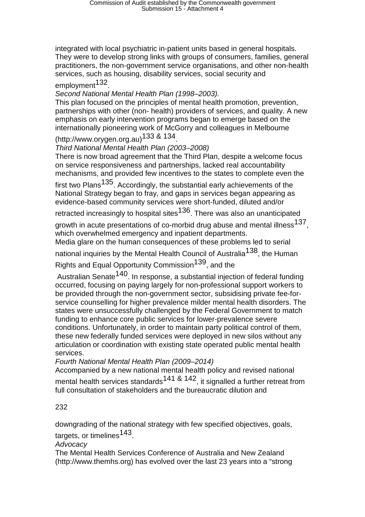integrated with local psychiatric in-patient units based in general hospitals. They were to develop strong links with groups of consumers, families, general practitioners, the non-government service organisations, and other non-health services, such as housing, disability services, social security and

### employment<sup>132</sup>.

### *Second National Mental Health Plan (1998–2003).*

This plan focused on the principles of mental health promotion, prevention, partnerships with other (non- health) providers of services, and quality. A new emphasis on early intervention programs began to emerge based on the internationally pioneering work of McGorry and colleagues in Melbourne

### (http://www.orygen.org.au)133 & 134.

### *Third National Mental Health Plan (2003–2008)*

There is now broad agreement that the Third Plan, despite a welcome focus on service responsiveness and partnerships, lacked real accountability mechanisms, and provided few incentives to the states to complete even the

first two Plans<sup>135</sup>. Accordingly, the substantial early achievements of the National Strategy began to fray, and gaps in services began appearing as evidence-based community services were short-funded, diluted and/or

retracted increasingly to hospital sites<sup>136</sup>. There was also an unanticipated

growth in acute presentations of co-morbid drug abuse and mental illness<sup>137</sup>. which overwhelmed emergency and inpatient departments.

Media glare on the human consequences of these problems led to serial

national inquiries by the Mental Health Council of Australia<sup>138</sup>, the Human

Rights and Equal Opportunity Commission<sup>139</sup>, and the

Australian Senate<sup>140</sup>. In response, a substantial injection of federal funding occurred, focusing on paying largely for non-professional support workers to be provided through the non-government sector, subsidising private fee-forservice counselling for higher prevalence milder mental health disorders. The states were unsuccessfully challenged by the Federal Government to match funding to enhance core public services for lower-prevalence severe conditions. Unfortunately, in order to maintain party political control of them, these new federally funded services were deployed in new silos without any articulation or coordination with existing state operated public mental health services.

*Fourth National Mental Health Plan (2009–2014)* 

Accompanied by a new national mental health policy and revised national mental health services standards<sup>141 & 142</sup>, it signalled a further retreat from full consultation of stakeholders and the bureaucratic dilution and

### 232

downgrading of the national strategy with few specified objectives, goals, targets, or timelines<sup>143</sup>.

*Advocacy* 

The Mental Health Services Conference of Australia and New Zealand (http://www.themhs.org) has evolved over the last 23 years into a "strong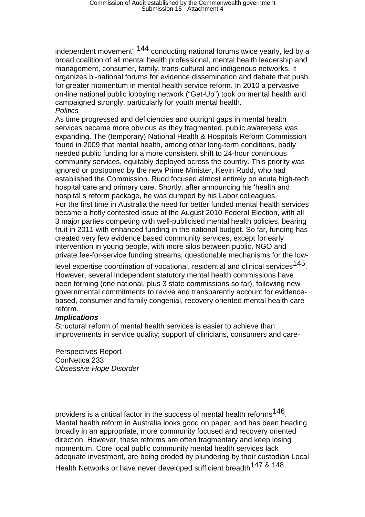independent movement" 144 conducting national forums twice yearly, led by a broad coalition of all mental health professional, mental health leadership and management, consumer, family, trans-cultural and indigenous networks. It organizes bi-national forums for evidence dissemination and debate that push for greater momentum in mental health service reform. In 2010 a pervasive on-line national public lobbying network ("Get-Up") took on mental health and campaigned strongly, particularly for youth mental health. *Politics* 

As time progressed and deficiencies and outright gaps in mental health services became more obvious as they fragmented, public awareness was expanding. The (temporary) National Health & Hospitals Reform Commission found in 2009 that mental health, among other long-term conditions, badly needed public funding for a more consistent shift to 24-hour continuous community services, equitably deployed across the country. This priority was ignored or postponed by the new Prime Minister, Kevin Rudd, who had established the Commission. Rudd focused almost entirely on acute high-tech hospital care and primary care. Shortly, after announcing his ʻhealth and hospital s reform package, he was dumped by his Labor colleagues. For the first time in Australia the need for better funded mental health services became a hotly contested issue at the August 2010 Federal Election, with all 3 major parties competing with well-publicised mental health policies, bearing fruit in 2011 with enhanced funding in the national budget. So far, funding has created very few evidence based community services, except for early intervention in young people, with more silos between public, NGO and private fee-for-service funding streams, questionable mechanisms for the low-

level expertise coordination of vocational, residential and clinical services<sup>145</sup>. However, several independent statutory mental health commissions have been forming (one national, plus 3 state commissions so far), following new governmental commitments to revive and transparently account for evidencebased, consumer and family congenial, recovery oriented mental health care reform.

#### *Implications*

Structural reform of mental health services is easier to achieve than improvements in service quality; support of clinicians, consumers and care-

Perspectives Report ConNetica 233 *Obsessive Hope Disorder* 

providers is a critical factor in the success of mental health reforms $146$ . Mental health reform in Australia looks good on paper, and has been heading broadly in an appropriate, more community focused and recovery oriented direction. However, these reforms are often fragmentary and keep losing momentum. Core local public community mental health services lack adequate investment, are being eroded by plundering by their custodian Local Health Networks or have never developed sufficient breadth<sup>147 & 148</sup>.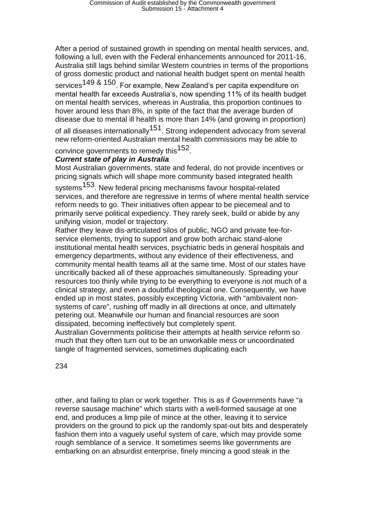After a period of sustained growth in spending on mental health services, and, following a lull, even with the Federal enhancements announced for 2011-16, Australia still lags behind similar Western countries in terms of the proportions of gross domestic product and national health budget spent on mental health services<sup>149 & 150</sup>. For example, New Zealand's per capita expenditure on mental health far exceeds Australia's, now spending 11% of its health budget on mental health services, whereas in Australia, this proportion continues to hover around less than 8%, in spite of the fact that the average burden of disease due to mental ill health is more than 14% (and growing in proportion)

of all diseases internationally<sup>151</sup>. Strong independent advocacy from several new reform-oriented Australian mental health commissions may be able to

convince governments to remedy this<sup>152</sup>.

### *Current state of play in Australia*

Most Australian governments, state and federal, do not provide incentives or pricing signals which will shape more community based integrated health

systems<sup>153</sup>. New federal pricing mechanisms favour hospital-related services, and therefore are regressive in terms of where mental health service reform needs to go. Their initiatives often appear to be piecemeal and to primarily serve political expediency. They rarely seek, build or abide by any unifying vision, model or trajectory.

Rather they leave dis-articulated silos of public, NGO and private fee-forservice elements, trying to support and grow both archaic stand-alone institutional mental health services, psychiatric beds in general hospitals and emergency departments, without any evidence of their effectiveness, and community mental health teams all at the same time. Most of our states have uncritically backed all of these approaches simultaneously. Spreading your resources too thinly while trying to be everything to everyone is not much of a clinical strategy, and even a doubtful theological one. Consequently, we have ended up in most states, possibly excepting Victoria, with "ambivalent nonsystems of care", rushing off madly in all directions at once, and ultimately petering out. Meanwhile our human and financial resources are soon dissipated, becoming ineffectively but completely spent.

Australian Governments politicise their attempts at health service reform so much that they often turn out to be an unworkable mess or uncoordinated tangle of fragmented services, sometimes duplicating each

234

other, and failing to plan or work together. This is as if Governments have "a reverse sausage machine" which starts with a well-formed sausage at one end, and produces a limp pile of mince at the other, leaving it to service providers on the ground to pick up the randomly spat-out bits and desperately fashion them into a vaguely useful system of care, which may provide some rough semblance of a service. It sometimes seems like governments are embarking on an absurdist enterprise, finely mincing a good steak in the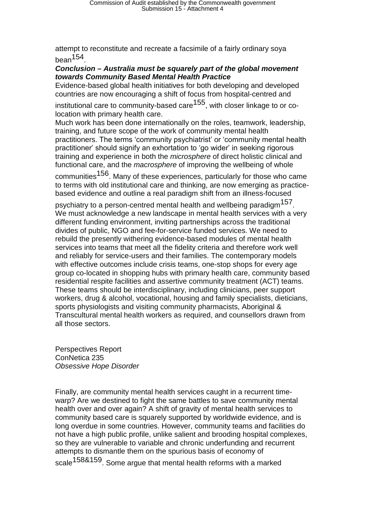attempt to reconstitute and recreate a facsimile of a fairly ordinary soya  $bean<sup>154</sup>$ 

#### *Conclusion – Australia must be squarely part of the global movement towards Community Based Mental Health Practice*

Evidence-based global health initiatives for both developing and developed countries are now encouraging a shift of focus from hospital-centred and

institutional care to community-based care<sup>155</sup>, with closer linkage to or colocation with primary health care.

Much work has been done internationally on the roles, teamwork, leadership, training, and future scope of the work of community mental health practitioners. The terms ʻcommunity psychiatrist' or ʻcommunity mental health practitioner' should signify an exhortation to ʻgo wider' in seeking rigorous training and experience in both the *microsphere* of direct holistic clinical and functional care, and the *macrosphere* of improving the wellbeing of whole

communities<sup>156</sup>. Many of these experiences, particularly for those who came to terms with old institutional care and thinking, are now emerging as practicebased evidence and outline a real paradigm shift from an illness-focused

psychiatry to a person-centred mental health and wellbeing paradigm<sup>157</sup>. We must acknowledge a new landscape in mental health services with a very different funding environment, inviting partnerships across the traditional divides of public, NGO and fee-for-service funded services. We need to rebuild the presently withering evidence-based modules of mental health services into teams that meet all the fidelity criteria and therefore work well and reliably for service-users and their families. The contemporary models with effective outcomes include crisis teams, one-stop shops for every age group co-located in shopping hubs with primary health care, community based residential respite facilities and assertive community treatment (ACT) teams. These teams should be interdisciplinary, including clinicians, peer support workers, drug & alcohol, vocational, housing and family specialists, dieticians, sports physiologists and visiting community pharmacists, Aboriginal & Transcultural mental health workers as required, and counsellors drawn from all those sectors.

Perspectives Report ConNetica 235 *Obsessive Hope Disorder* 

Finally, are community mental health services caught in a recurrent timewarp? Are we destined to fight the same battles to save community mental health over and over again? A shift of gravity of mental health services to community based care is squarely supported by worldwide evidence, and is long overdue in some countries. However, community teams and facilities do not have a high public profile, unlike salient and brooding hospital complexes, so they are vulnerable to variable and chronic underfunding and recurrent attempts to dismantle them on the spurious basis of economy of scale<sup>158&159</sup>. Some argue that mental health reforms with a marked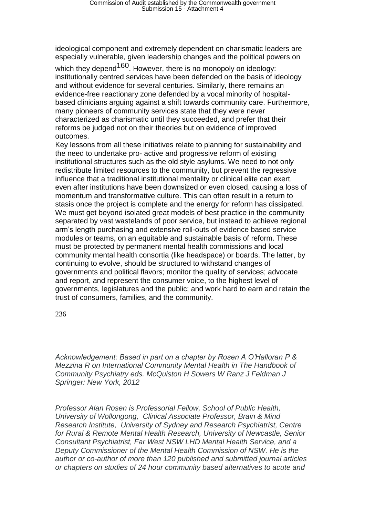ideological component and extremely dependent on charismatic leaders are especially vulnerable, given leadership changes and the political powers on

which they depend<sup>160</sup>. However, there is no monopoly on ideology: institutionally centred services have been defended on the basis of ideology and without evidence for several centuries. Similarly, there remains an evidence-free reactionary zone defended by a vocal minority of hospitalbased clinicians arguing against a shift towards community care. Furthermore, many pioneers of community services state that they were never characterized as charismatic until they succeeded, and prefer that their reforms be judged not on their theories but on evidence of improved outcomes.

Key lessons from all these initiatives relate to planning for sustainability and the need to undertake pro- active and progressive reform of existing institutional structures such as the old style asylums. We need to not only redistribute limited resources to the community, but prevent the regressive influence that a traditional institutional mentality or clinical elite can exert, even after institutions have been downsized or even closed, causing a loss of momentum and transformative culture. This can often result in a return to stasis once the project is complete and the energy for reform has dissipated. We must get beyond isolated great models of best practice in the community separated by vast wastelands of poor service, but instead to achieve regional arm's length purchasing and extensive roll-outs of evidence based service modules or teams, on an equitable and sustainable basis of reform. These must be protected by permanent mental health commissions and local community mental health consortia (like headspace) or boards. The latter, by continuing to evolve, should be structured to withstand changes of governments and political flavors; monitor the quality of services; advocate and report, and represent the consumer voice, to the highest level of governments, legislatures and the public; and work hard to earn and retain the trust of consumers, families, and the community.

236

*Acknowledgement: Based in part on a chapter by Rosen A O'Halloran P & Mezzina R on International Community Mental Health in The Handbook of Community Psychiatry eds. McQuiston H Sowers W Ranz J Feldman J Springer: New York, 2012* 

*Professor Alan Rosen is Professorial Fellow, School of Public Health, University of Wollongong, Clinical Associate Professor, Brain & Mind Research Institute, University of Sydney and Research Psychiatrist, Centre for Rural & Remote Mental Health Research, University of Newcastle, Senior Consultant Psychiatrist, Far West NSW LHD Mental Health Service, and a Deputy Commissioner of the Mental Health Commission of NSW. He is the author or co-author of more than 120 published and submitted journal articles or chapters on studies of 24 hour community based alternatives to acute and*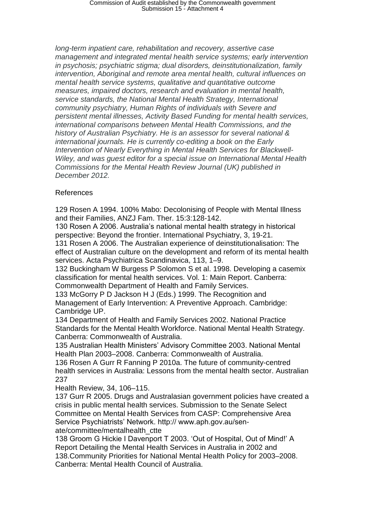*long-term inpatient care, rehabilitation and recovery, assertive case management and integrated mental health service systems; early intervention in psychosis; psychiatric stigma; dual disorders, deinstitutionalization, family intervention, Aboriginal and remote area mental health, cultural influences on mental health service systems, qualitative and quantitative outcome measures, impaired doctors, research and evaluation in mental health, service standards, the National Mental Health Strategy, International community psychiatry, Human Rights of individuals with Severe and persistent mental illnesses, Activity Based Funding for mental health services, international comparisons between Mental Health Commissions, and the history of Australian Psychiatry. He is an assessor for several national & international journals. He is currently co-editing a book on the Early Intervention of Nearly Everything in Mental Health Services for Blackwell-Wiley, and was guest editor for a special issue on International Mental Health Commissions for the Mental Health Review Journal (UK) published in December 2012.*

### References

129 Rosen A 1994. 100% Mabo: Decolonising of People with Mental Illness and their Families, ANZJ Fam. Ther. 15:3:128-142.

130 Rosen A 2006. Australia's national mental health strategy in historical perspective: Beyond the frontier. International Psychiatry, 3, 19-21.

131 Rosen A 2006. The Australian experience of deinstitutionalisation: The effect of Australian culture on the development and reform of its mental health services. Acta Psychiatrica Scandinavica, 113, 1–9.

132 Buckingham W Burgess P Solomon S et al. 1998. Developing a casemix classification for mental health services. Vol. 1: Main Report. Canberra: Commonwealth Department of Health and Family Services.

133 McGorry P D Jackson H J (Eds.) 1999. The Recognition and Management of Early Intervention: A Preventive Approach. Cambridge: Cambridge UP.

134 Department of Health and Family Services 2002. National Practice Standards for the Mental Health Workforce. National Mental Health Strategy. Canberra: Commonwealth of Australia.

135 Australian Health Ministers' Advisory Committee 2003. National Mental Health Plan 2003–2008. Canberra: Commonwealth of Australia.

136 Rosen A Gurr R Fanning P 2010a. The future of community-centred health services in Australia: Lessons from the mental health sector. Australian 237

Health Review, 34, 106–115.

137 Gurr R 2005. Drugs and Australasian government policies have created a crisis in public mental health services. Submission to the Senate Select Committee on Mental Health Services from CASP: Comprehensive Area Service Psychiatrists' Network. http:// www.aph.gov.au/senate/committee/mentalhealth\_ctte

138 Groom G Hickie I Davenport T 2003. ʻOut of Hospital, Out of Mind!' A Report Detailing the Mental Health Services in Australia in 2002 and 138.Community Priorities for National Mental Health Policy for 2003–2008. Canberra: Mental Health Council of Australia.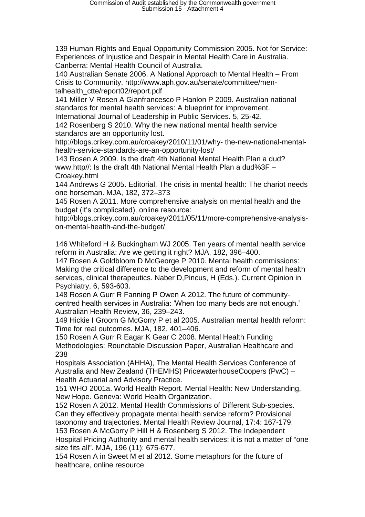139 Human Rights and Equal Opportunity Commission 2005. Not for Service: Experiences of Injustice and Despair in Mental Health Care in Australia. Canberra: Mental Health Council of Australia.

140 Australian Senate 2006. A National Approach to Mental Health – From Crisis to Community. http://www.aph.gov.au/senate/committee/mentalhealth\_ctte/report02/report.pdf

141 Miller V Rosen A Gianfrancesco P Hanlon P 2009. Australian national standards for mental health services: A blueprint for improvement. International Journal of Leadership in Public Services. 5, 25-42.

142 Rosenberg S 2010. Why the new national mental health service standards are an opportunity lost.

http://blogs.crikey.com.au/croakey/2010/11/01/why- the-new-national-mentalhealth-service-standards-are-an-opportunity-lost/

143 Rosen A 2009. Is the draft 4th National Mental Health Plan a dud? www.http//: Is the draft 4th National Mental Health Plan a dud%3F – Croakey.html

144 Andrews G 2005. Editorial. The crisis in mental health: The chariot needs one horseman. MJA, 182, 372–373

145 Rosen A 2011. More comprehensive analysis on mental health and the budget (it's complicated), online resource:

http://blogs.crikey.com.au/croakey/2011/05/11/more-comprehensive-analysison-mental-health-and-the-budget/

146 Whiteford H & Buckingham WJ 2005. Ten years of mental health service reform in Australia: Are we getting it right? MJA, 182, 396–400.

147 Rosen A Goldbloom D McGeorge P 2010. Mental health commissions: Making the critical difference to the development and reform of mental health services, clinical therapeutics. Naber D,Pincus, H (Eds.). Current Opinion in Psychiatry, 6, 593-603.

148 Rosen A Gurr R Fanning P Owen A 2012. The future of communitycentred health services in Australia: ʻWhen too many beds are not enough.' Australian Health Review, 36, 239–243.

149 Hickie I Groom G McGorry P et al 2005. Australian mental health reform: Time for real outcomes. MJA, 182, 401–406.

150 Rosen A Gurr R Eagar K Gear C 2008. Mental Health Funding Methodologies: Roundtable Discussion Paper, Australian Healthcare and 238

Hospitals Association (AHHA), The Mental Health Services Conference of Australia and New Zealand (THEMHS) PricewaterhouseCoopers (PwC) – Health Actuarial and Advisory Practice.

151 WHO 2001a. World Health Report. Mental Health: New Understanding, New Hope. Geneva: World Health Organization.

152 Rosen A 2012. Mental Health Commissions of Different Sub-species. Can they effectively propagate mental health service reform? Provisional taxonomy and trajectories. Mental Health Review Journal, 17:4: 167-179.

153 Rosen A McGorry P Hill H & Rosenberg S 2012. The Independent Hospital Pricing Authority and mental health services: it is not a matter of "one size fits all". MJA, 196 (11): 675-677.

154 Rosen A in Sweet M et al 2012. Some metaphors for the future of healthcare, online resource